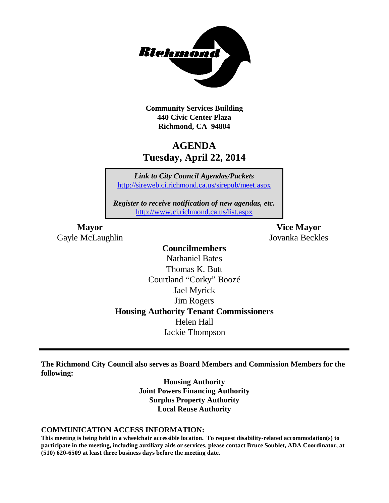

**Community Services Building 440 Civic Center Plaza Richmond, CA 94804**

# **AGENDA Tuesday, April 22, 2014**

*Link to City Council Agendas/Packets* <http://sireweb.ci.richmond.ca.us/sirepub/meet.aspx>

*Register to receive notification of new agendas, etc.* <http://www.ci.richmond.ca.us/list.aspx>

Gayle McLaughlin Jovanka Beckles

**Mayor Vice Mayor**

### **Councilmembers** Nathaniel Bates Thomas K. Butt Courtland "Corky" Boozé Jael Myrick Jim Rogers **Housing Authority Tenant Commissioners** Helen Hall Jackie Thompson

**The Richmond City Council also serves as Board Members and Commission Members for the following:**

> **Housing Authority Joint Powers Financing Authority Surplus Property Authority Local Reuse Authority**

#### **COMMUNICATION ACCESS INFORMATION:**

**This meeting is being held in a wheelchair accessible location. To request disability-related accommodation(s) to participate in the meeting, including auxiliary aids or services, please contact Bruce Soublet, ADA Coordinator, at (510) 620-6509 at least three business days before the meeting date.**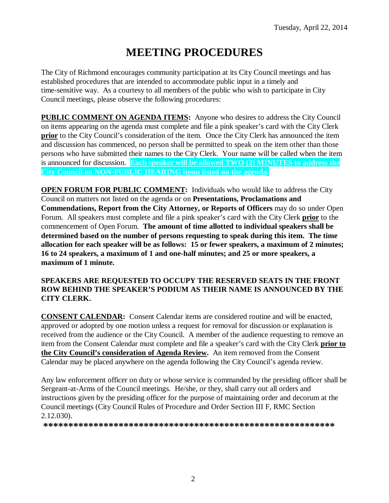# **MEETING PROCEDURES**

The City of Richmond encourages community participation at its City Council meetings and has established procedures that are intended to accommodate public input in a timely and time-sensitive way. As a courtesy to all members of the public who wish to participate in City Council meetings, please observe the following procedures:

**PUBLIC COMMENT ON AGENDA ITEMS:** Anyone who desires to address the City Council on items appearing on the agenda must complete and file a pink speaker's card with the City Clerk **prior** to the City Council's consideration of the item. Once the City Clerk has announced the item and discussion has commenced, no person shall be permitted to speak on the item other than those persons who have submitted their names to the City Clerk. Your name will be called when the item is announced for discussion. **Each speaker will be allowed TWO (2) MINUTES to address the City Council on NON-PUBLIC HEARING items listed on the agenda.**

**OPEN FORUM FOR PUBLIC COMMENT:** Individuals who would like to address the City Council on matters not listed on the agenda or on **Presentations, Proclamations and Commendations, Report from the City Attorney, or Reports of Officers** may do so under Open Forum. All speakers must complete and file a pink speaker's card with the City Clerk **prior** to the commencement of Open Forum. **The amount of time allotted to individual speakers shall be determined based on the number of persons requesting to speak during this item. The time allocation for each speaker will be as follows: 15 or fewer speakers, a maximum of 2 minutes; 16 to 24 speakers, a maximum of 1 and one-half minutes; and 25 or more speakers, a maximum of 1 minute.**

#### **SPEAKERS ARE REQUESTED TO OCCUPY THE RESERVED SEATS IN THE FRONT ROW BEHIND THE SPEAKER'S PODIUM AS THEIR NAME IS ANNOUNCED BY THE CITY CLERK.**

**CONSENT CALENDAR:** Consent Calendar items are considered routine and will be enacted, approved or adopted by one motion unless a request for removal for discussion or explanation is received from the audience or the City Council. A member of the audience requesting to remove an item from the Consent Calendar must complete and file a speaker's card with the City Clerk **prior to the City Council's consideration of Agenda Review.** An item removed from the Consent Calendar may be placed anywhere on the agenda following the City Council's agenda review.

Any law enforcement officer on duty or whose service is commanded by the presiding officer shall be Sergeant-at-Arms of the Council meetings. He/she, or they, shall carry out all orders and instructions given by the presiding officer for the purpose of maintaining order and decorum at the Council meetings (City Council Rules of Procedure and Order Section III F, RMC Section 2.12.030).

**\*\*\*\*\*\*\*\*\*\*\*\*\*\*\*\*\*\*\*\*\*\*\*\*\*\*\*\*\*\*\*\*\*\*\*\*\*\*\*\*\*\*\*\*\*\*\*\*\*\*\*\*\*\*\*\*\*\***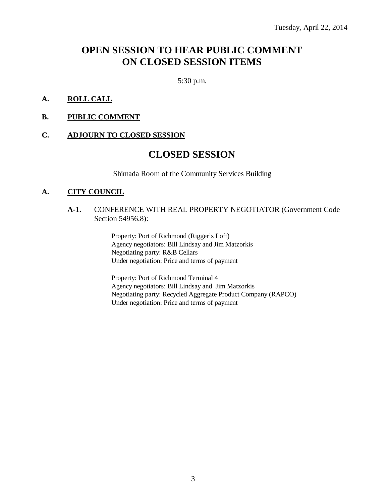### **OPEN SESSION TO HEAR PUBLIC COMMENT ON CLOSED SESSION ITEMS**

5:30 p.m.

#### **A. ROLL CALL**

#### **B. PUBLIC COMMENT**

#### **C. ADJOURN TO CLOSED SESSION**

### **CLOSED SESSION**

Shimada Room of the Community Services Building

#### **A. CITY COUNCIL**

#### **A-1.** CONFERENCE WITH REAL PROPERTY NEGOTIATOR (Government Code Section 54956.8):

Property: Port of Richmond (Rigger's Loft) Agency negotiators: Bill Lindsay and Jim Matzorkis Negotiating party: R&B Cellars Under negotiation: Price and terms of payment

Property: Port of Richmond Terminal 4 Agency negotiators: Bill Lindsay and Jim Matzorkis Negotiating party: Recycled Aggregate Product Company (RAPCO) Under negotiation: Price and terms of payment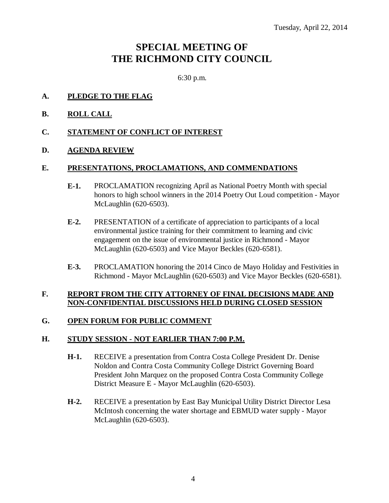# **SPECIAL MEETING OF THE RICHMOND CITY COUNCIL**

6:30 p.m.

- **A. PLEDGE TO THE FLAG**
- **B. ROLL CALL**
- **C. STATEMENT OF CONFLICT OF INTEREST**
- **D. AGENDA REVIEW**

#### **E. PRESENTATIONS, PROCLAMATIONS, AND COMMENDATIONS**

- **E-1.** PROCLAMATION recognizing April as National Poetry Month with special honors to high school winners in the 2014 Poetry Out Loud competition - Mayor McLaughlin (620-6503).
- **E-2.** PRESENTATION of a certificate of appreciation to participants of a local environmental justice training for their commitment to learning and civic engagement on the issue of environmental justice in Richmond - Mayor McLaughlin (620-6503) and Vice Mayor Beckles (620-6581).
- **E-3.** PROCLAMATION honoring the 2014 Cinco de Mayo Holiday and Festivities in Richmond - Mayor McLaughlin (620-6503) and Vice Mayor Beckles (620-6581).

#### **F. REPORT FROM THE CITY ATTORNEY OF FINAL DECISIONS MADE AND NON-CONFIDENTIAL DISCUSSIONS HELD DURING CLOSED SESSION**

#### **G. OPEN FORUM FOR PUBLIC COMMENT**

#### **H. STUDY SESSION - NOT EARLIER THAN 7:00 P.M.**

- **H-1.** RECEIVE a presentation from Contra Costa College President Dr. Denise Noldon and Contra Costa Community College District Governing Board President John Marquez on the proposed Contra Costa Community College District Measure E - Mayor McLaughlin (620-6503).
- **H-2.** RECEIVE a presentation by East Bay Municipal Utility District Director Lesa McIntosh concerning the water shortage and EBMUD water supply - Mayor McLaughlin (620-6503).